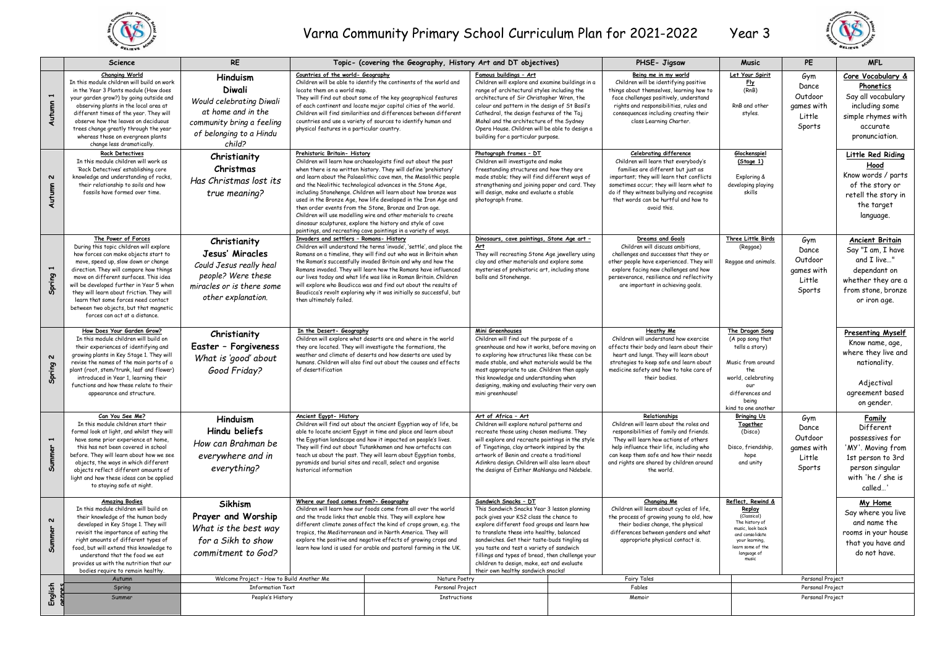

## Varna Community Primary School Curriculum Plan for 2021-2022 Year 3



|                                     | <b>Science</b>                                                                                                                                                                                                                                                                                                                                                                                                                               | <b>RE</b>                                                                                                                              |                                                                                                                | Topic- (covering the Geography, History Art and DT objectives)                                                                                                                                                                                                                                                                                                                                                                                                                                                                                                                                                                                                      |                                                                                                                                                                                                                                                                                                                                                                                                                                                |        | PHSE- Jigsaw                                                                                                                                                                                                                                                                                             | <b>Music</b>                                                                                                                                                       | PE                                                        | <b>MFL</b>                                                                                                                           |
|-------------------------------------|----------------------------------------------------------------------------------------------------------------------------------------------------------------------------------------------------------------------------------------------------------------------------------------------------------------------------------------------------------------------------------------------------------------------------------------------|----------------------------------------------------------------------------------------------------------------------------------------|----------------------------------------------------------------------------------------------------------------|---------------------------------------------------------------------------------------------------------------------------------------------------------------------------------------------------------------------------------------------------------------------------------------------------------------------------------------------------------------------------------------------------------------------------------------------------------------------------------------------------------------------------------------------------------------------------------------------------------------------------------------------------------------------|------------------------------------------------------------------------------------------------------------------------------------------------------------------------------------------------------------------------------------------------------------------------------------------------------------------------------------------------------------------------------------------------------------------------------------------------|--------|----------------------------------------------------------------------------------------------------------------------------------------------------------------------------------------------------------------------------------------------------------------------------------------------------------|--------------------------------------------------------------------------------------------------------------------------------------------------------------------|-----------------------------------------------------------|--------------------------------------------------------------------------------------------------------------------------------------|
| Autumn 1                            | <b>Changing World</b><br>In this module children will build on work<br>in the Year 3 Plants module (How does<br>your garden grow?) by going outside and<br>observing plants in the local area at<br>different times of the year. They will<br>observe how the leaves on deciduous<br>trees change greatly through the year<br>whereas those on evergreen plants<br>change less dramatically.                                                 | Hinduism<br>Diwali<br>Would celebrating Diwali<br>at home and in the<br>community bring a feeling<br>of belonging to a Hindu<br>child? | Countries of the world- Geography<br>locate them on a world map.<br>physical features in a particular country. | Children will be able to identify the continents of the world and<br>They will find out about some of the key geographical features<br>of each continent and locate major capital cities of the world.<br>Children will find similarities and differences between different<br>countries and use a variety of sources to identify human and                                                                                                                                                                                                                                                                                                                         | Famous buildings - Art<br>Children will explore and examine buildings in a<br>range of architectural styles including the<br>architecture of Sir Christopher Wren, the<br>colour and pattern in the design of St Basil's<br>Cathedral, the design features of the Taj<br>Mahal and the architecture of the Sydney<br>Opera House. Children will be able to design a<br>building for a particular purpose.                                      |        | Being me in my world<br>Children will be identifying positive<br>things about themselves, learning how to<br>face challenges positively, understand<br>rights and responsibilities, rules and<br>consequences including creating their<br>class Learning Charter.                                        | Let Your Spirit<br><u>Fly</u><br>(RnB)<br>RnB and other<br>styles.                                                                                                 | Gym<br>Dance<br>Outdoor<br>games with<br>Little<br>Sports | Core Vocabulary &<br>Phonetics<br>Say all vocabulary<br>including some<br>simple rhymes with<br>accurate<br>pronunciation.           |
| $\boldsymbol{\mathsf{u}}$<br>Autumn | <b>Rock Detectives</b><br>In this module children will work as<br>'Rock Detectives' establishing core<br>knowledge and understanding of rocks,<br>their relationship to soils and how<br>fossils have formed over time.                                                                                                                                                                                                                      | Christianity<br>Christmas<br>Has Christmas lost its<br>true meaning?                                                                   | Prehistoric Britain- History                                                                                   | Children will learn how archaeologists find out about the past<br>when there is no written history. They will define 'prehistory'<br>and learn about the Palaeolithic cave men, the Mesolithic people<br>and the Neolithic technological advances in the Stone Age,<br>including Stonehenge. Children will learn about how bronze was<br>used in the Bronze Age, how life developed in the Iron Age and<br>then order events from the Stone, Bronze and Iron age,<br>Children will use modelling wire and other materials to create<br>dinosaur sculptures, explore the history and style of cave<br>paintings, and recreating cave paintings in a variety of ways. | Photograph frames - DT<br>Children will investigate and make<br>freestanding structures and how they are<br>made stable; they will find different ways of<br>strengthening and joining paper and card. They<br>will design, make and evaluate a stable<br>photograph frame.                                                                                                                                                                    |        | <b>Celebrating difference</b><br>Children will learn that everybody's<br>families are different but just as<br>important; they will learn that conflicts<br>sometimes occur; they will learn what to<br>do if they witness bullying and recognise<br>that words can be hurtful and how to<br>avoid this. | Glockenspiel<br>(Stage 1)<br>Exploring &<br>developing playing<br>skills                                                                                           |                                                           | Little Red Riding<br>Hood<br>Know words / parts<br>of the story or<br>retell the story in<br>the target<br>language.                 |
| Spring 1                            | The Power of Forces<br>During this topic children will explore<br>how forces can make objects start to<br>move, speed up, slow down or change<br>direction. They will compare how things<br>move on different surfaces. This idea<br>will be developed further in Year 5 when<br>they will learn about friction. They will<br>learn that some forces need contact<br>between two objects, but that magnetic<br>forces can act at a distance. | Christianity<br>Jesus' Miracles<br>Could Jesus really heal<br>people? Were these<br>miracles or is there some<br>other explanation.    | Invaders and settlers - Romans- History<br>then ultimately failed.                                             | Children will understand the terms 'invade', 'settle', and place the<br>Romans on a timeline, they will find out who was in Britain when<br>the Roman's successfully invaded Britain and why and how the<br>Romans invaded. They will learn how the Romans have influenced<br>our lives today and what life was like in Roman Britain, Children<br>will explore who Boudicca was and find out about the results of<br>Boudicca's revolt exploring why it was initially so successful, but                                                                                                                                                                           | Dinosaurs, cave paintings, Stone Age art -<br><u>Art</u><br>They will recreating Stone Age jewellery using<br>clay and other materials and explore some<br>mysteries of prehistoric art, including stone<br>balls and Stonehenge.                                                                                                                                                                                                              |        | Dreams and Goals<br>Children will discuss ambitions,<br>challenges and successes that they or<br>other people have experienced. They will<br>explore facing new challenges and how<br>perseverance, resilience and reflectivity<br>are important in achieving goals.                                     | Three Little Birds<br>(Reggae)<br>Reggae and animals.                                                                                                              | Gym<br>Dance<br>Outdoor<br>games with<br>Little<br>Sports | Ancient Britain<br>Say "I am, I have<br>and I live"<br>dependant on<br>whether they are a<br>from stone, bronze<br>or iron age.      |
| $\boldsymbol{\mathsf{u}}$<br>Spring | How Does Your Garden Grow?<br>In this module children will build on<br>their experiences of identifying and<br>growing plants in Key Stage 1. They will<br>revise the names of the main parts of a<br>plant (root, stem/trunk, leaf and flower)<br>introduced in Year 1, learning their<br>functions and how these relate to their<br>appearance and structure.                                                                              | Christianity<br>Easter - Forgiveness<br>What is 'good' about<br>Good Friday?                                                           | In the Desert- Geography<br>of desertification                                                                 | Children will explore what deserts are and where in the world<br>they are located. They will investigate the formations, the<br>weather and climate of deserts and how deserts are used by<br>humans, Children will also find out about the causes and effects                                                                                                                                                                                                                                                                                                                                                                                                      | Mini Greenhouses<br>Children will find out the purpose of a<br>greenhouse and how it works, before moving on<br>to exploring how structures like these can be<br>made stable, and what materials would be the<br>most appropriate to use. Children then apply<br>this knowledge and understanding when<br>designing, making and evaluating their very own<br>mini greenhouse!                                                                  |        | <b>Heathy Me</b><br>Children will understand how exercise<br>affects their body and learn about their<br>heart and lungs. They will learn about<br>strategies to keep safe and learn about<br>medicine safety and how to take care of<br>their bodies.                                                   | The Dragon Song<br>(A pop song that<br>tells a story)<br>Music from around<br>the.<br>world, celebrating<br>our<br>differences and<br>beina<br>kind to one another |                                                           | Presenting Myself<br>Know name, age,<br>where they live and<br>nationality.<br>Adjectival<br>agreement based<br>on gender.           |
| Summer 1                            | Can You See Me?<br>In this module children start their<br>formal look at light, and whilst they will<br>have some prior experience at home,<br>this has not been covered in school<br>before. They will learn about how we see<br>objects, the ways in which different<br>objects reflect different amounts of<br>light and how these ideas can be applied<br>to staying safe at night.                                                      | Hinduism<br>Hindu beliefs<br>How can Brahman be<br>everywhere and in<br>everything?                                                    | Ancient Egypt- History<br>historical information                                                               | Children will find out about the ancient Egyptian way of life, be<br>able to locate ancient Egypt in time and place and learn about<br>the Egyptian landscape and how it impacted on people's lives.<br>They will find out about Tutankhamen and how artefacts can<br>teach us about the past. They will learn about Egyptian tombs,<br>pyramids and burial sites and recall, select and organise                                                                                                                                                                                                                                                                   | Art of Africa - Art<br>Children will explore natural patterns and<br>recreate those using chosen mediums. They<br>will explore and recreate paintings in the style<br>of Tingatinga, clay artwork inspired by the<br>artwork of Benin and create a traditional<br>Adinkra design, Children will also learn about<br>the designs of Esther Mahlangu and Ndebele.                                                                                |        | Relationships<br>Children will learn about the roles and<br>responsibilities of family and friends.<br>They will learn how actions of others<br>help influence their life, including who<br>can keep them safe and how their needs<br>and rights are shared by children around<br>the world              | <b>Bringing Us</b><br>Together<br>(Disco)<br>Disco, friendship,<br>hope<br>and unity                                                                               | Gym<br>Dance<br>Outdoor<br>games with<br>Little<br>Sports | Family<br>Different<br>possessives for<br>'MY'. Moving from<br>1st person to 3rd<br>person singular<br>with 'he / she is<br>called." |
| $\boldsymbol{\mathsf{N}}$<br>Summer | <b>Amazing Bodies</b><br>In this module children will build on<br>their knowledge of the human body<br>developed in Key Stage 1. They will<br>revisit the importance of eating the<br>right amounts of different types of<br>food, but will extend this knowledge to<br>understand that the food we eat<br>provides us with the nutrition that our<br>bodies require to remain healthy.                                                      | <b>Sikhism</b><br>Prayer and Worship<br>What is the best way<br>for a Sikh to show<br>commitment to God?                               | Where our food comes from?- Geography                                                                          | Children will learn how our foods come from all over the world<br>and the trade links that enable this. They will explore how<br>different climate zones affect the kind of crops grown, e.g. the<br>tropics, the Mediterranean and in North America. They will<br>explore the positive and negative effects of growing crops and<br>learn how land is used for arable and pastoral farming in the UK.                                                                                                                                                                                                                                                              | Sandwich Snacks - DT<br>This Sandwich Snacks Year 3 lesson planning<br>pack gives your KS2 class the chance to<br>explore different food groups and learn how<br>to translate these into healthy, balanced<br>sandwiches. Get their taste-buds tingling as<br>you taste and test a variety of sandwich<br>fillings and types of bread, then challenge your<br>children to design, make, eat and evaluate<br>their own healthy sandwich snacks! |        | <b>Changing Me</b><br>Children will learn about cycles of life.<br>the process of growing young to old, how<br>their bodies change, the physical<br>differences between genders and what<br>appropriate physical contact is.                                                                             | Reflect, Rewind &<br>Replay<br>(Classical)<br>The history of<br>music, look back<br>and consolidate<br>vour learning.<br>learn some of the<br>language of<br>music |                                                           | My Home<br>Say where you live<br>and name the<br>rooms in your house<br>that you have and<br>do not have.                            |
|                                     | Autumn                                                                                                                                                                                                                                                                                                                                                                                                                                       | Welcome Project - How to Build Another Me                                                                                              |                                                                                                                | Nature Poetry                                                                                                                                                                                                                                                                                                                                                                                                                                                                                                                                                                                                                                                       |                                                                                                                                                                                                                                                                                                                                                                                                                                                |        | <b>Fairy Tales</b>                                                                                                                                                                                                                                                                                       |                                                                                                                                                                    | Personal Project                                          |                                                                                                                                      |
|                                     | Spring                                                                                                                                                                                                                                                                                                                                                                                                                                       | <b>Information Text</b>                                                                                                                |                                                                                                                | Personal Project                                                                                                                                                                                                                                                                                                                                                                                                                                                                                                                                                                                                                                                    |                                                                                                                                                                                                                                                                                                                                                                                                                                                | Fables |                                                                                                                                                                                                                                                                                                          |                                                                                                                                                                    | Personal Project                                          |                                                                                                                                      |
| English                             | Summer                                                                                                                                                                                                                                                                                                                                                                                                                                       | People's History                                                                                                                       |                                                                                                                | Instructions                                                                                                                                                                                                                                                                                                                                                                                                                                                                                                                                                                                                                                                        |                                                                                                                                                                                                                                                                                                                                                                                                                                                |        | Memoir                                                                                                                                                                                                                                                                                                   |                                                                                                                                                                    | Personal Project                                          |                                                                                                                                      |